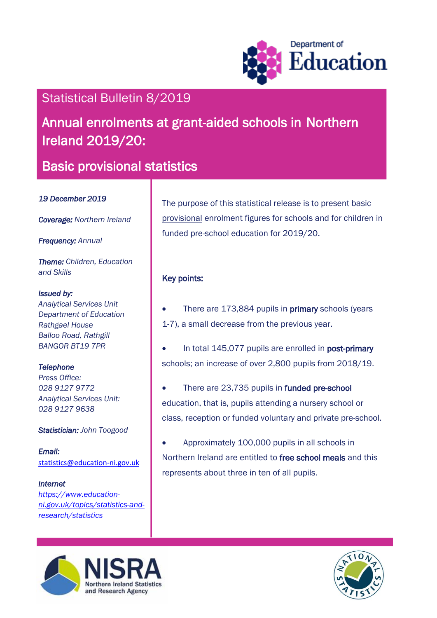

# Statistical Bulletin 8/2019

# Annual enrolments at grant-aided schools in Northern Ireland 2019/20:

# Basic provisional statistics

### *19 December 2019*

*Coverage: Northern Ireland* 

*Frequency: Annual*

*Theme: Children, Education and Skills*

#### *Issued by:*

*Analytical Services Unit Department of Education Rathgael House Balloo Road, Rathgill BANGOR BT19 7PR*

## *Telephone*

*Press Office: 028 9127 9772 Analytical Services Unit: 028 9127 9638*

### *Statistician: John Toogood*

*Email:*  [statistics@education-ni.gov.uk](mailto:statistics@education-ni.gov.uk)

### *Internet*

*https://www.educationni.gov.uk/topics/statistics-andresearch/statistics*

The purpose of this statistical release is to present basic provisional enrolment figures for schools and for children in funded pre-school education for 2019/20.

# Key points:

- There are 173,884 pupils in **primary** schools (years 1-7), a small decrease from the previous year.
- In total 145,077 pupils are enrolled in post-primary schools; an increase of over 2,800 pupils from 2018/19.
- There are 23,735 pupils in funded pre-school education, that is, pupils attending a nursery school or class, reception or funded voluntary and private pre-school.
- Approximately 100,000 pupils in all schools in Northern Ireland are entitled to free school meals and this represents about three in ten of all pupils.



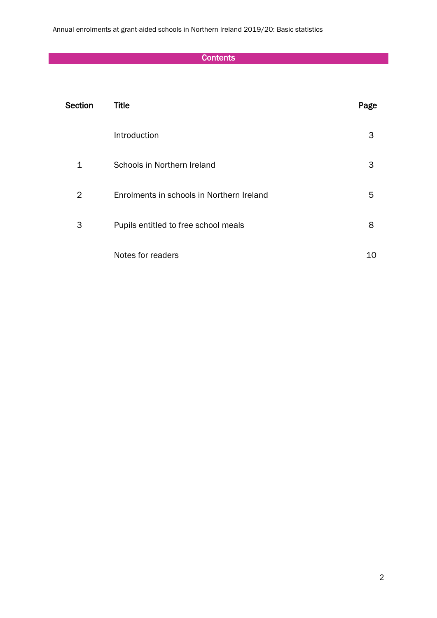Annual enrolments at grant-aided schools in Northern Ireland 2019/20: Basic statistics

# **Contents**

| Section | <b>Title</b>                              | Page |
|---------|-------------------------------------------|------|
|         | Introduction                              | 3    |
| 1       | Schools in Northern Ireland               | 3    |
| 2       | Enrolments in schools in Northern Ireland | 5    |
| 3       | Pupils entitled to free school meals      | 8    |
|         | Notes for readers                         | 10   |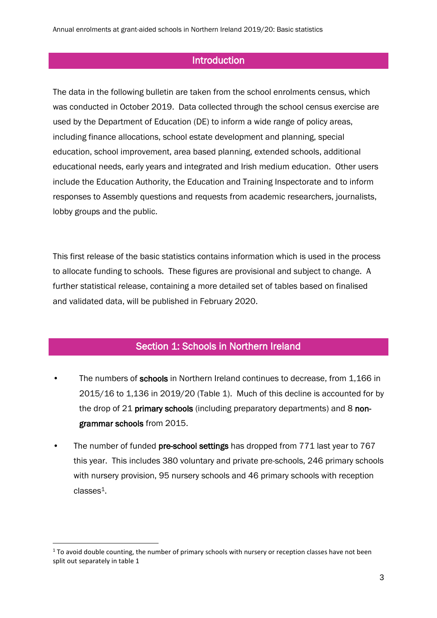## **Introduction**

The data in the following bulletin are taken from the school enrolments census, which was conducted in October 2019. Data collected through the school census exercise are used by the Department of Education (DE) to inform a wide range of policy areas, including finance allocations, school estate development and planning, special education, school improvement, area based planning, extended schools, additional educational needs, early years and integrated and Irish medium education. Other users include the Education Authority, the Education and Training Inspectorate and to inform responses to Assembly questions and requests from academic researchers, journalists, lobby groups and the public.

This first release of the basic statistics contains information which is used in the process to allocate funding to schools. These figures are provisional and subject to change. A further statistical release, containing a more detailed set of tables based on finalised and validated data, will be published in February 2020.

### Section 1: Schools in Northern Ireland

- The numbers of schools in Northern Ireland continues to decrease, from 1,166 in 2015/16 to 1,136 in 2019/20 (Table 1). Much of this decline is accounted for by the drop of 21 primary schools (including preparatory departments) and 8 nongrammar schools from 2015.
- The number of funded pre-school settings has dropped from 771 last year to 767 this year. This includes 380 voluntary and private pre-schools, 246 primary schools with nursery provision, 95 nursery schools and 46 primary schools with reception classes<sup>1</sup>.

1

 $1$  To avoid double counting, the number of primary schools with nursery or reception classes have not been split out separately in table 1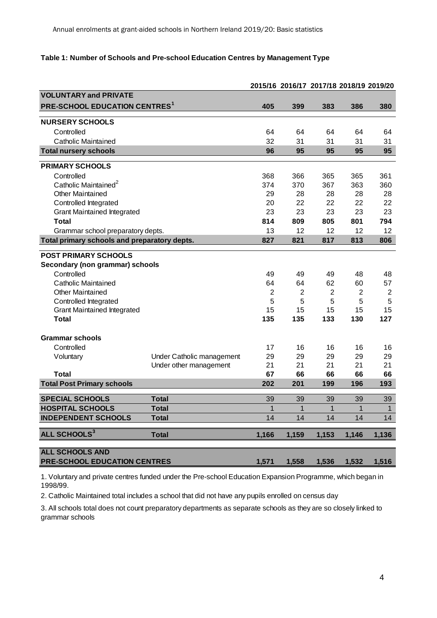#### **Table 1: Number of Schools and Pre-school Education Centres by Management Type**

|                                              |                           |       | 2015/16 2016/17 2017/18 2018/19 2019/20 |                |                |                |
|----------------------------------------------|---------------------------|-------|-----------------------------------------|----------------|----------------|----------------|
| <b>VOLUNTARY and PRIVATE</b>                 |                           |       |                                         |                |                |                |
| <b>PRE-SCHOOL EDUCATION CENTRES1</b>         |                           | 405   | 399                                     | 383            | 386            | 380            |
| <b>NURSERY SCHOOLS</b>                       |                           |       |                                         |                |                |                |
| Controlled                                   |                           | 64    | 64                                      | 64             | 64             | 64             |
| Catholic Maintained                          |                           | 32    | 31                                      | 31             | 31             | 31             |
| <b>Total nursery schools</b>                 |                           | 96    | 95                                      | 95             | 95             | 95             |
| <b>PRIMARY SCHOOLS</b>                       |                           |       |                                         |                |                |                |
| Controlled                                   |                           | 368   | 366                                     | 365            | 365            | 361            |
| Catholic Maintained <sup>2</sup>             |                           | 374   | 370                                     | 367            | 363            | 360            |
| <b>Other Maintained</b>                      |                           | 29    | 28                                      | 28             | 28             | 28             |
| Controlled Integrated                        |                           | 20    | 22                                      | 22             | 22             | 22             |
| <b>Grant Maintained Integrated</b>           |                           | 23    | 23                                      | 23             | 23             | 23             |
| <b>Total</b>                                 |                           | 814   | 809                                     | 805            | 801            | 794            |
| Grammar school preparatory depts.            |                           | 13    | 12                                      | 12             | 12             | 12             |
| Total primary schools and preparatory depts. |                           | 827   | 821                                     | 817            | 813            | 806            |
| <b>POST PRIMARY SCHOOLS</b>                  |                           |       |                                         |                |                |                |
| Secondary (non grammar) schools              |                           |       |                                         |                |                |                |
| Controlled                                   |                           | 49    | 49                                      | 49             | 48             | 48             |
| Catholic Maintained                          |                           | 64    | 64                                      | 62             | 60             | 57             |
| <b>Other Maintained</b>                      |                           | 2     | $\mathbf{2}$                            | $\overline{2}$ | $\overline{2}$ | $\overline{2}$ |
| Controlled Integrated                        |                           | 5     | 5                                       | 5              | 5              | 5              |
| <b>Grant Maintained Integrated</b>           |                           | 15    | 15                                      | 15             | 15             | 15             |
| <b>Total</b>                                 |                           | 135   | 135                                     | 133            | 130            | 127            |
|                                              |                           |       |                                         |                |                |                |
| <b>Grammar schools</b>                       |                           |       |                                         |                |                |                |
| Controlled                                   |                           | 17    | 16                                      | 16             | 16             | 16             |
| Voluntary                                    | Under Catholic management | 29    | 29                                      | 29             | 29             | 29             |
|                                              | Under other management    | 21    | 21                                      | 21             | 21             | 21             |
| <b>Total</b>                                 |                           | 67    | 66                                      | 66             | 66             | 66             |
| <b>Total Post Primary schools</b>            |                           | 202   | 201                                     | 199            | 196            | 193            |
| <b>SPECIAL SCHOOLS</b>                       | <b>Total</b>              | 39    | 39                                      | 39             | 39             | 39             |
| <b>HOSPITAL SCHOOLS</b>                      | <b>Total</b>              | 1     | $\mathbf{1}$                            | $\overline{1}$ | $\overline{1}$ | $\overline{1}$ |
| <b>INDEPENDENT SCHOOLS</b>                   | <b>Total</b>              | 14    | 14                                      | 14             | 14             | 14             |
| ALL SCHOOLS <sup>3</sup>                     | <b>Total</b>              | 1,166 | 1,159                                   | 1,153          | 1,146          | 1,136          |
|                                              |                           |       |                                         |                |                |                |
| <b>ALL SCHOOLS AND</b>                       |                           |       |                                         |                |                |                |
| PRE-SCHOOL EDUCATION CENTRES                 |                           | 1,571 | 1,558                                   | 1,536          | 1,532          | 1,516          |

1. Voluntary and private centres funded under the Pre-school Education Expansion Programme, which began in 1998/99.

2. Catholic Maintained total includes a school that did not have any pupils enrolled on census day

3. All schools total does not count preparatory departments as separate schools as they are so closely linked to grammar schools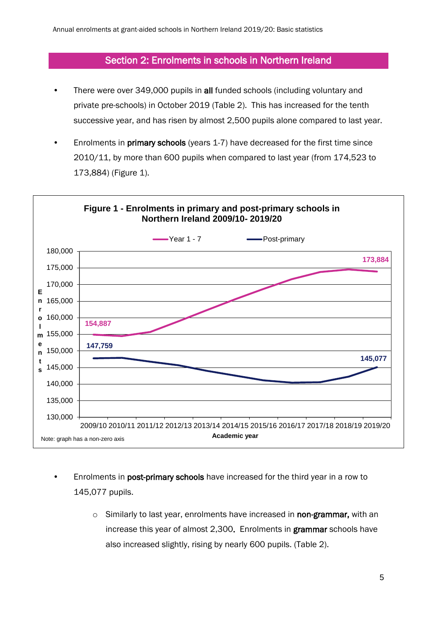# Section 2: Enrolments in schools in Northern Ireland

- There were over 349,000 pupils in all funded schools (including voluntary and private pre-schools) in October 2019 (Table 2). This has increased for the tenth successive year, and has risen by almost 2,500 pupils alone compared to last year.
- Enrolments in **primary schools** (years 1-7) have decreased for the first time since 2010/11, by more than 600 pupils when compared to last year (from 174,523 to 173,884) (Figure 1).



- Enrolments in post-primary schools have increased for the third year in a row to 145,077 pupils.
	- o Similarly to last year, enrolments have increased in non-grammar, with an increase this year of almost 2,300. Enrolments in grammar schools have also increased slightly, rising by nearly 600 pupils. (Table 2).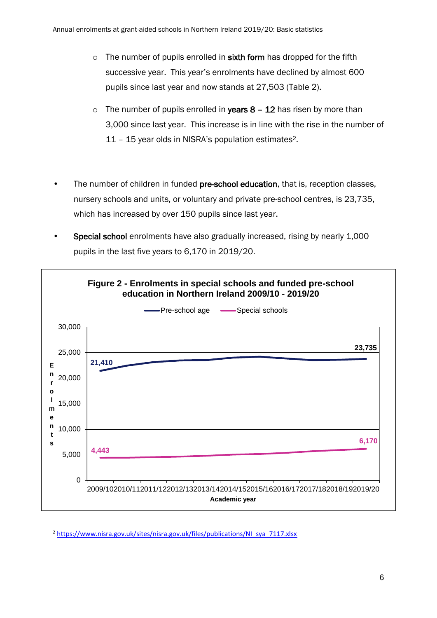- $\circ$  The number of pupils enrolled in sixth form has dropped for the fifth successive year. This year's enrolments have declined by almost 600 pupils since last year and now stands at 27,503 (Table 2).
- $\circ$  The number of pupils enrolled in **vears 8 12** has risen by more than 3,000 since last year. This increase is in line with the rise in the number of 11 – 15 year olds in NISRA's population estimates2.
- The number of children in funded pre-school education, that is, reception classes, nursery schools and units, or voluntary and private pre-school centres, is 23,735, which has increased by over 150 pupils since last year.
- Special school enrolments have also gradually increased, rising by nearly 1,000 pupils in the last five years to 6,170 in 2019/20.



<sup>2</sup> [https://www.nisra.gov.uk/sites/nisra.gov.uk/files/publications/NI\\_sya\\_7117.xlsx](https://www.nisra.gov.uk/sites/nisra.gov.uk/files/publications/NI_sya_7117.xlsx)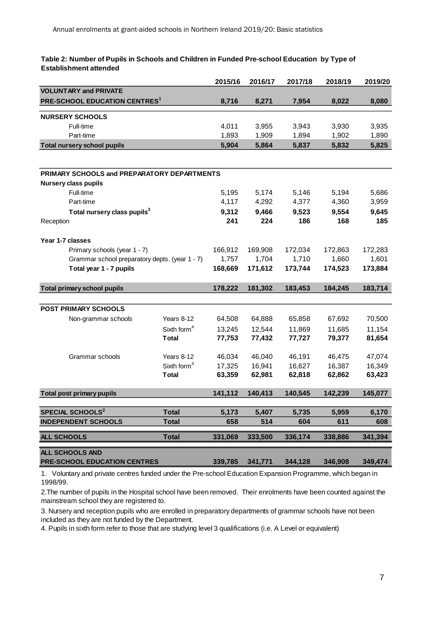#### **Table 2: Number of Pupils in Schools and Children in Funded Pre-school Education by Type of Establishment attended**

|                                                                                |                         | 2015/16 | 2016/17 | 2017/18 | 2018/19 | 2019/20 |
|--------------------------------------------------------------------------------|-------------------------|---------|---------|---------|---------|---------|
| <b>VOLUNTARY and PRIVATE</b>                                                   |                         |         |         |         |         |         |
| PRE-SCHOOL EDUCATION CENTRES <sup>1</sup>                                      |                         | 8,716   | 8,271   | 7,954   | 8,022   | 8,080   |
| <b>NURSERY SCHOOLS</b>                                                         |                         |         |         |         |         |         |
| Full-time                                                                      |                         | 4,011   | 3,955   | 3,943   | 3,930   | 3,935   |
| Part-time                                                                      |                         | 1,893   | 1,909   | 1,894   | 1,902   | 1,890   |
| <b>Total nursery school pupils</b>                                             |                         | 5,904   | 5,864   | 5,837   | 5,832   | 5,825   |
|                                                                                |                         |         |         |         |         |         |
| PRIMARY SCHOOLS and PREPARATORY DEPARTMENTS                                    |                         |         |         |         |         |         |
| <b>Nursery class pupils</b>                                                    |                         |         |         |         |         |         |
| Full-time                                                                      |                         | 5,195   | 5,174   | 5,146   | 5,194   | 5,686   |
| Part-time                                                                      |                         | 4,117   | 4,292   | 4,377   | 4,360   | 3,959   |
| Total nursery class pupils <sup>3</sup>                                        |                         | 9,312   | 9,466   | 9,523   | 9,554   | 9,645   |
| Reception                                                                      |                         | 241     | 224     | 186     | 168     | 185     |
|                                                                                |                         |         |         |         |         |         |
| Year 1-7 classes                                                               |                         |         |         |         |         |         |
| Primary schools (year 1 - 7)<br>Grammar school preparatory depts. (year 1 - 7) |                         | 166,912 | 169,908 | 172,034 | 172,863 | 172,283 |
|                                                                                |                         | 1,757   | 1,704   | 1,710   | 1,660   | 1,601   |
| Total year 1 - 7 pupils                                                        |                         | 168,669 | 171,612 | 173,744 | 174,523 | 173,884 |
| <b>Total primary school pupils</b>                                             |                         | 178,222 | 181,302 | 183,453 | 184,245 | 183,714 |
|                                                                                |                         |         |         |         |         |         |
| <b>POST PRIMARY SCHOOLS</b>                                                    |                         |         |         |         |         |         |
| Non-grammar schools                                                            | Years 8-12              | 64,508  | 64,888  | 65,858  | 67,692  | 70,500  |
|                                                                                | Sixth form <sup>4</sup> | 13,245  | 12,544  | 11,869  | 11,685  | 11,154  |
|                                                                                | <b>Total</b>            | 77,753  | 77,432  | 77,727  | 79,377  | 81,654  |
| Grammar schools                                                                | Years 8-12              | 46,034  | 46,040  | 46,191  | 46,475  | 47,074  |
|                                                                                | Sixth form <sup>4</sup> | 17,325  | 16,941  | 16,627  | 16,387  | 16,349  |
|                                                                                | <b>Total</b>            | 63,359  | 62,981  | 62,818  | 62,862  | 63,423  |
|                                                                                |                         |         |         |         |         |         |
| <b>Total post primary pupils</b>                                               |                         | 141,112 | 140,413 | 140,545 | 142,239 | 145,077 |
|                                                                                |                         |         |         |         |         |         |
| <b>SPECIAL SCHOOLS<sup>2</sup></b>                                             | <b>Total</b>            | 5,173   | 5,407   | 5,735   | 5,959   | 6,170   |
| <b>INDEPENDENT SCHOOLS</b>                                                     | <b>Total</b>            | 658     | 514     | 604     | 611     | 608     |
| <b>ALL SCHOOLS</b>                                                             | <b>Total</b>            | 331,069 | 333,500 | 336,174 | 338,886 | 341,394 |
| ALL SCHOOLS AND                                                                |                         |         |         |         |         |         |
| PRE-SCHOOL EDUCATION CENTRES                                                   |                         | 339,785 | 341,771 | 344,128 | 346,908 | 349,474 |

1. Voluntary and private centres funded under the Pre-school Education Expansion Programme, which began in 1998/99.

2.The number of pupils in the Hospital school have been removed. Their enrolments have been counted against the mainstream school they are registered to.

3. Nursery and reception pupils who are enrolled in preparatory departments of grammar schools have not been included as they are not funded by the Department.

4. Pupils in sixth form refer to those that are studying level 3 qualifications (i.e. A Level or equivalent)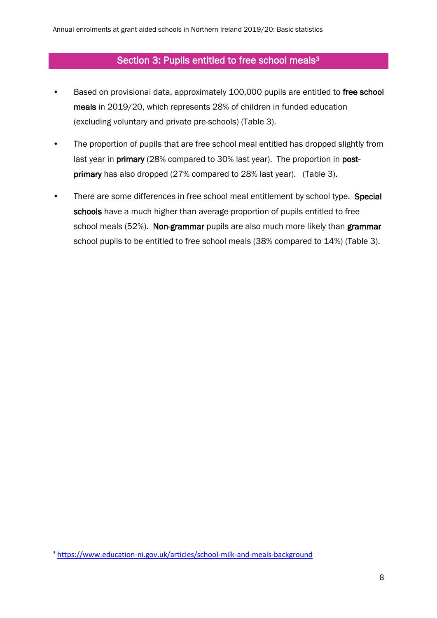# Section 3: Pupils entitled to free school meals<sup>3</sup>

- Based on provisional data, approximately 100,000 pupils are entitled to free school meals in 2019/20, which represents 28% of children in funded education (excluding voluntary and private pre-schools) (Table 3).
- The proportion of pupils that are free school meal entitled has dropped slightly from last year in **primary** (28% compared to 30% last year). The proportion in **post**primary has also dropped (27% compared to 28% last year). (Table 3).
- There are some differences in free school meal entitlement by school type. Special schools have a much higher than average proportion of pupils entitled to free school meals (52%). Non-grammar pupils are also much more likely than grammar school pupils to be entitled to free school meals (38% compared to 14%) (Table 3).

<sup>3</sup> https://www.education-ni.gov.uk/articles/school-milk-and-meals-background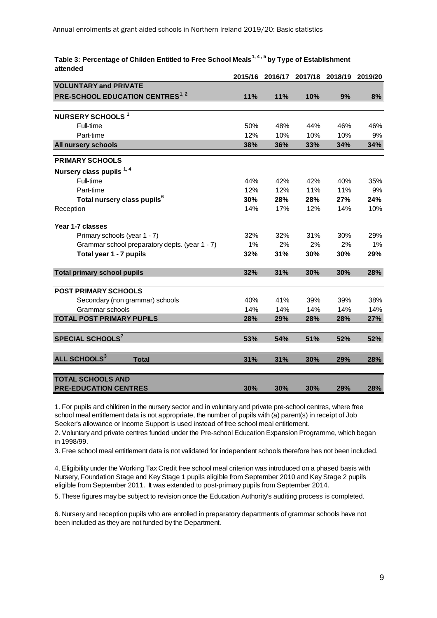|                                                | 2015/16 | 2016/17 | 2017/18 | 2018/19 | 2019/20 |
|------------------------------------------------|---------|---------|---------|---------|---------|
| <b>VOLUNTARY and PRIVATE</b>                   |         |         |         |         |         |
| <b>PRE-SCHOOL EDUCATION CENTRES1, 2</b>        | 11%     | 11%     | 10%     | 9%      | 8%      |
|                                                |         |         |         |         |         |
| <b>NURSERY SCHOOLS 1</b>                       |         |         |         |         |         |
| Full-time                                      | 50%     | 48%     | 44%     | 46%     | 46%     |
| Part-time                                      | 12%     | 10%     | 10%     | 10%     | 9%      |
| All nursery schools                            | 38%     | 36%     | 33%     | 34%     | 34%     |
| <b>PRIMARY SCHOOLS</b>                         |         |         |         |         |         |
| Nursery class pupils 1,4                       |         |         |         |         |         |
| Full-time                                      | 44%     | 42%     | 42%     | 40%     | 35%     |
| Part-time                                      | 12%     | 12%     | 11%     | 11%     | 9%      |
| Total nursery class pupils <sup>6</sup>        | 30%     | 28%     | 28%     | 27%     | 24%     |
| Reception                                      | 14%     | 17%     | 12%     | 14%     | 10%     |
| Year 1-7 classes                               |         |         |         |         |         |
| Primary schools (year 1 - 7)                   | 32%     | 32%     | 31%     | 30%     | 29%     |
| Grammar school preparatory depts. (year 1 - 7) | 1%      | 2%      | 2%      | 2%      | 1%      |
| Total year 1 - 7 pupils                        | 32%     | 31%     | 30%     | 30%     | 29%     |
| <b>Total primary school pupils</b>             | 32%     | 31%     | 30%     | 30%     | 28%     |
|                                                |         |         |         |         |         |
| <b>POST PRIMARY SCHOOLS</b>                    |         |         |         |         |         |
| Secondary (non grammar) schools                | 40%     | 41%     | 39%     | 39%     | 38%     |
| Grammar schools                                | 14%     | 14%     | 14%     | 14%     | 14%     |
| <b>TOTAL POST PRIMARY PUPILS</b>               | 28%     | 29%     | 28%     | 28%     | 27%     |
| SPECIAL SCHOOLS <sup>7</sup>                   | 53%     | 54%     | 51%     | 52%     | 52%     |
| ALL SCHOOLS <sup>3</sup><br><b>Total</b>       | 31%     | 31%     | 30%     | 29%     | 28%     |
| <b>TOTAL SCHOOLS AND</b>                       |         |         |         |         |         |
| <b>PRE-EDUCATION CENTRES</b>                   | 30%     | 30%     | 30%     | 29%     | 28%     |

#### **Table 3: Percentage of Childen Entitled to Free School Meals1, 4 , 5 by Type of Establishment attended**

1. For pupils and children in the nursery sector and in voluntary and private pre-school centres, where free school meal entitlement data is not appropriate, the number of pupils with (a) parent(s) in receipt of Job Seeker's allowance or Income Support is used instead of free school meal entitlement.

2. Voluntary and private centres funded under the Pre-school Education Expansion Programme, which began in 1998/99.

3. Free school meal entitlement data is not validated for independent schools therefore has not been included.

4. Eligibility under the Working Tax Credit free school meal criterion was introduced on a phased basis with Nursery, Foundation Stage and Key Stage 1 pupils eligible from September 2010 and Key Stage 2 pupils eligible from September 2011. It was extended to post-primary pupils from September 2014.

5. These figures may be subject to revision once the Education Authority's auditing process is completed.

6. Nursery and reception pupils who are enrolled in preparatory departments of grammar schools have not been included as they are not funded by the Department.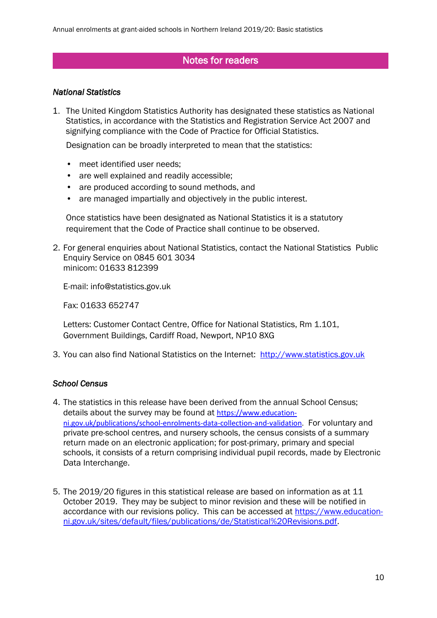# Notes for readers

### *National Statistics*

1. The United Kingdom Statistics Authority has designated these statistics as National Statistics, in accordance with the Statistics and Registration Service Act 2007 and signifying compliance with the Code of Practice for Official Statistics.

Designation can be broadly interpreted to mean that the statistics:

- meet identified user needs;
- are well explained and readily accessible;
- are produced according to sound methods, and
- are managed impartially and objectively in the public interest.

Once statistics have been designated as National Statistics it is a statutory requirement that the Code of Practice shall continue to be observed.

2. For general enquiries about National Statistics, contact the National Statistics Public Enquiry Service on 0845 601 3034 minicom: 01633 812399

E-mail: info@statistics.gov.uk

Fax: 01633 652747

Letters: Customer Contact Centre, Office for National Statistics, Rm 1.101, Government Buildings, Cardiff Road, Newport, NP10 8XG

3. You can also find National Statistics on the Internet: [http://www.statistics.gov.uk](http://www.statistics.gov.uk/)

### *School Census*

- 4. The statistics in this release have been derived from the annual School Census; details about the survey may be found at [https://www.education](https://www.education-ni.gov.uk/publications/school-enrolments-data-collection-and-validation)[ni.gov.uk/publications/school-enrolments-data-collection-and-validation.](https://www.education-ni.gov.uk/publications/school-enrolments-data-collection-and-validation) For voluntary and private pre-school centres, and nursery schools, the census consists of a summary return made on an electronic application; for post-primary, primary and special schools, it consists of a return comprising individual pupil records, made by Electronic Data Interchange.
- 5. The 2019/20 figures in this statistical release are based on information as at 11 October 2019. They may be subject to minor revision and these will be notified in accordance with our revisions policy. This can be accessed at [https://www.education](https://www.education-ni.gov.uk/sites/default/files/publications/de/Statistical%20Revisions.pdf)[ni.gov.uk/sites/default/files/publications/de/Statistical%20Revisions.pdf.](https://www.education-ni.gov.uk/sites/default/files/publications/de/Statistical%20Revisions.pdf)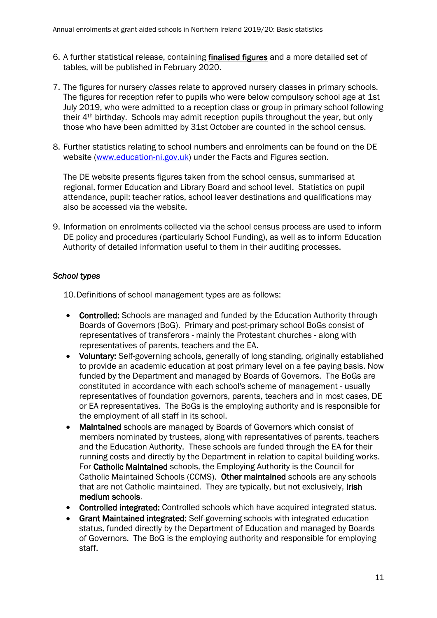- 6. A further statistical release, containing finalised figures and a more detailed set of tables, will be published in February 2020.
- 7. The figures for nursery *classes* relate to approved nursery classes in primary schools. The figures for reception refer to pupils who were below compulsory school age at 1st July 2019, who were admitted to a reception class or group in primary school following their 4th birthday. Schools may admit reception pupils throughout the year, but only those who have been admitted by 31st October are counted in the school census.
- 8. Further statistics relating to school numbers and enrolments can be found on the DE website [\(www.education-ni.gov.uk\)](http://www.education-ni.gov.uk/) under the Facts and Figures section.

The DE website presents figures taken from the school census, summarised at regional, former Education and Library Board and school level. Statistics on pupil attendance, pupil: teacher ratios, school leaver destinations and qualifications may also be accessed via the website.

9. Information on enrolments collected via the school census process are used to inform DE policy and procedures (particularly School Funding), as well as to inform Education Authority of detailed information useful to them in their auditing processes.

## *School types*

10.Definitions of school management types are as follows:

- Controlled: Schools are managed and funded by the Education Authority through Boards of Governors (BoG). Primary and post-primary school BoGs consist of representatives of transferors - mainly the Protestant churches - along with representatives of parents, teachers and the EA.
- Voluntary: Self-governing schools, generally of long standing, originally established to provide an academic education at post primary level on a fee paying basis. Now funded by the Department and managed by Boards of Governors. The BoGs are constituted in accordance with each school's scheme of management - usually representatives of foundation governors, parents, teachers and in most cases, DE or EA representatives. The BoGs is the employing authority and is responsible for the employment of all staff in its school.
- Maintained schools are managed by Boards of Governors which consist of members nominated by trustees, along with representatives of parents, teachers and the Education Authority. These schools are funded through the EA for their running costs and directly by the Department in relation to capital building works. For Catholic Maintained schools, the Employing Authority is the Council for Catholic Maintained Schools (CCMS). Other maintained schools are any schools that are not Catholic maintained. They are typically, but not exclusively, Irish medium schools.
- Controlled integrated: Controlled schools which have acquired integrated status.
- Grant Maintained integrated: Self-governing schools with integrated education status, funded directly by the Department of Education and managed by Boards of Governors. The BoG is the employing authority and responsible for employing staff.